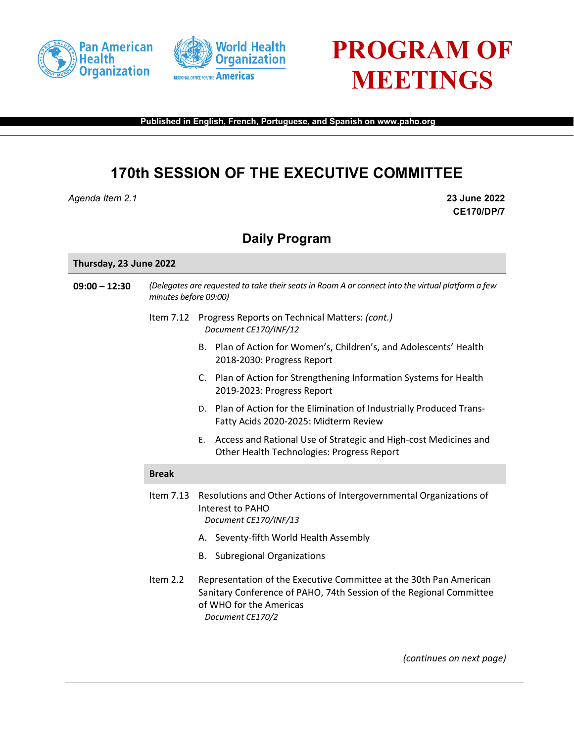





**Published in English, French, Portuguese, and Spanish on www.paho.org**

## **170th SESSION OF THE EXECUTIVE COMMITTEE**

*Agenda Item 2.1* **23 June 2022**

**CE170/DP/7**

## **Daily Program**

## **Thursday, 23 June 2022**

| $09:00 - 12:30$ | (Delegates are requested to take their seats in Room A or connect into the virtual platform a few<br>minutes before 09:00) |                                                                                                                                                                                          |
|-----------------|----------------------------------------------------------------------------------------------------------------------------|------------------------------------------------------------------------------------------------------------------------------------------------------------------------------------------|
|                 |                                                                                                                            | Item 7.12 Progress Reports on Technical Matters: (cont.)<br>Document CE170/INF/12                                                                                                        |
|                 |                                                                                                                            | B. Plan of Action for Women's, Children's, and Adolescents' Health<br>2018-2030: Progress Report                                                                                         |
|                 |                                                                                                                            | C. Plan of Action for Strengthening Information Systems for Health<br>2019-2023: Progress Report                                                                                         |
|                 |                                                                                                                            | D. Plan of Action for the Elimination of Industrially Produced Trans-<br>Fatty Acids 2020-2025: Midterm Review                                                                           |
|                 |                                                                                                                            | Access and Rational Use of Strategic and High-cost Medicines and<br>Ε.<br>Other Health Technologies: Progress Report                                                                     |
|                 | <b>Break</b>                                                                                                               |                                                                                                                                                                                          |
|                 | Item 7.13                                                                                                                  | Resolutions and Other Actions of Intergovernmental Organizations of<br>Interest to PAHO<br>Document CE170/INF/13                                                                         |
|                 |                                                                                                                            | A. Seventy-fifth World Health Assembly                                                                                                                                                   |
|                 |                                                                                                                            | <b>B.</b> Subregional Organizations                                                                                                                                                      |
|                 | Item 2.2                                                                                                                   | Representation of the Executive Committee at the 30th Pan American<br>Sanitary Conference of PAHO, 74th Session of the Regional Committee<br>of WHO for the Americas<br>Document CE170/2 |

*(continues on next page)*